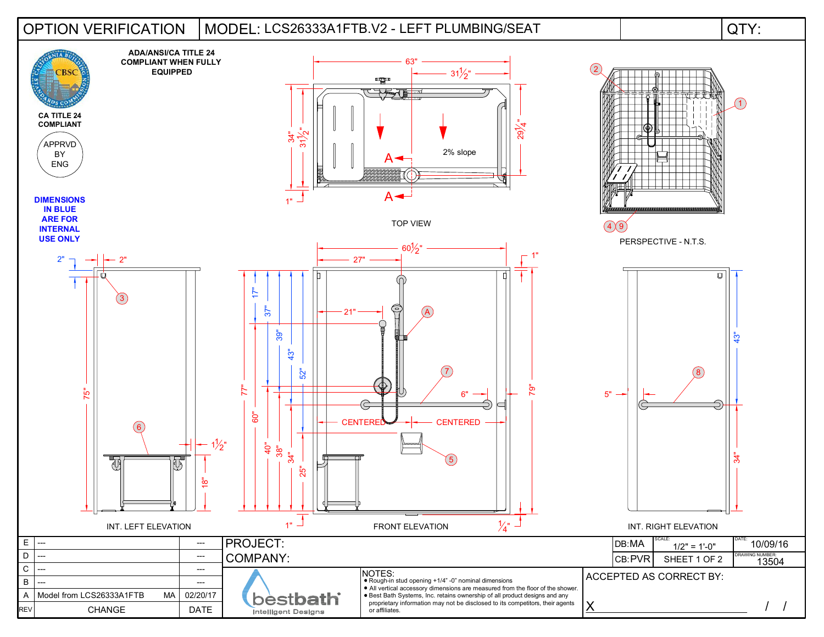## OPTION VERIFICATION | MODEL: LCS26333A1FTB.V2 - LEFT PLUMBING/SEAT | QTY: